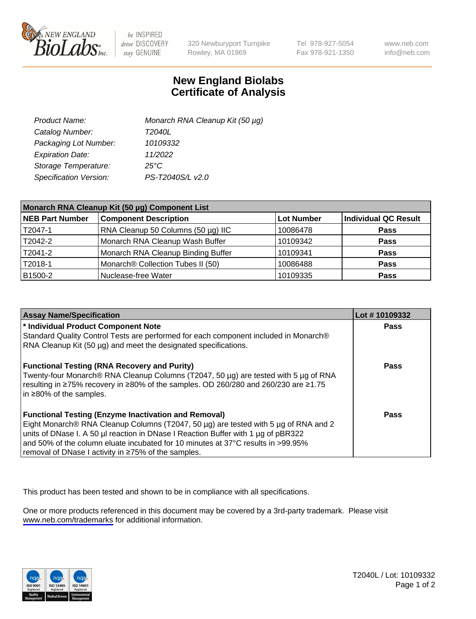

be INSPIRED drive DISCOVERY stay GENUINE

320 Newburyport Turnpike Rowley, MA 01969

Tel 978-927-5054 Fax 978-921-1350

www.neb.com info@neb.com

## **New England Biolabs Certificate of Analysis**

| Product Name:           | Monarch RNA Cleanup Kit (50 µg) |
|-------------------------|---------------------------------|
| Catalog Number:         | T2040L                          |
| Packaging Lot Number:   | 10109332                        |
| <b>Expiration Date:</b> | 11/2022                         |
| Storage Temperature:    | $25^{\circ}$ C                  |
| Specification Version:  | PS-T2040S/L v2.0                |

| Monarch RNA Cleanup Kit (50 µg) Component List |                                         |                   |                      |  |
|------------------------------------------------|-----------------------------------------|-------------------|----------------------|--|
| <b>NEB Part Number</b>                         | <b>Component Description</b>            | <b>Lot Number</b> | Individual QC Result |  |
| T2047-1                                        | RNA Cleanup 50 Columns (50 $\mu$ g) IIC | 10086478          | <b>Pass</b>          |  |
| T2042-2                                        | Monarch RNA Cleanup Wash Buffer         | 10109342          | <b>Pass</b>          |  |
| T2041-2                                        | Monarch RNA Cleanup Binding Buffer      | 10109341          | <b>Pass</b>          |  |
| T2018-1                                        | Monarch® Collection Tubes II (50)       | 10086488          | <b>Pass</b>          |  |
| B1500-2                                        | Nuclease-free Water                     | 10109335          | <b>Pass</b>          |  |

| <b>Assay Name/Specification</b>                                                      | Lot #10109332 |
|--------------------------------------------------------------------------------------|---------------|
| * Individual Product Component Note                                                  | <b>Pass</b>   |
| Standard Quality Control Tests are performed for each component included in Monarch® |               |
| RNA Cleanup Kit (50 µg) and meet the designated specifications.                      |               |
| <b>Functional Testing (RNA Recovery and Purity)</b>                                  | <b>Pass</b>   |
| Twenty-four Monarch® RNA Cleanup Columns (T2047, 50 µg) are tested with 5 µg of RNA  |               |
| resulting in ≥75% recovery in ≥80% of the samples. OD 260/280 and 260/230 are ≥1.75  |               |
| $\ln 280\%$ of the samples.                                                          |               |
|                                                                                      |               |
| <b>Functional Testing (Enzyme Inactivation and Removal)</b>                          | Pass          |
| Eight Monarch® RNA Cleanup Columns (T2047, 50 µg) are tested with 5 µg of RNA and 2  |               |
| units of DNase I. A 50 µ reaction in DNase I Reaction Buffer with 1 µg of pBR322     |               |
| and 50% of the column eluate incubated for 10 minutes at 37°C results in >99.95%     |               |
| Fremoval of DNase I activity in ≥75% of the samples.                                 |               |

This product has been tested and shown to be in compliance with all specifications.

One or more products referenced in this document may be covered by a 3rd-party trademark. Please visit <www.neb.com/trademarks>for additional information.